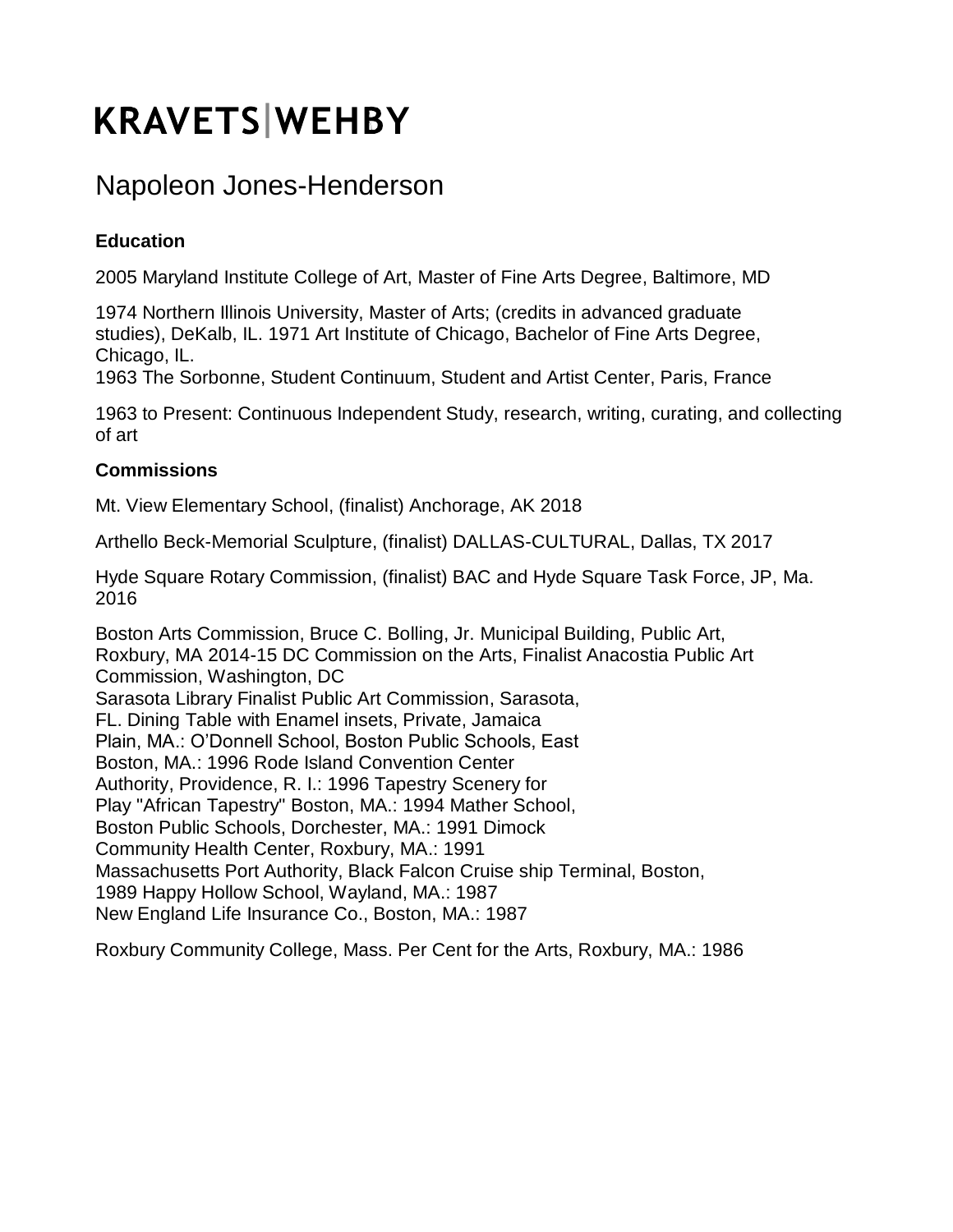# **KRAVETS WEHBY**

## Napoleon Jones-Henderson

### **Education**

2005 Maryland Institute College of Art, Master of Fine Arts Degree, Baltimore, MD

1974 Northern Illinois University, Master of Arts; (credits in advanced graduate studies), DeKalb, IL. 1971 Art Institute of Chicago, Bachelor of Fine Arts Degree, Chicago, IL.

1963 The Sorbonne, Student Continuum, Student and Artist Center, Paris, France

1963 to Present: Continuous Independent Study, research, writing, curating, and collecting of art

#### **Commissions**

Mt. View Elementary School, (finalist) Anchorage, AK 2018

Arthello Beck-Memorial Sculpture, (finalist) DALLAS-CULTURAL, Dallas, TX 2017

Hyde Square Rotary Commission, (finalist) BAC and Hyde Square Task Force, JP, Ma. 2016

Boston Arts Commission, Bruce C. Bolling, Jr. Municipal Building, Public Art, Roxbury, MA 2014-15 DC Commission on the Arts, Finalist Anacostia Public Art Commission, Washington, DC Sarasota Library Finalist Public Art Commission, Sarasota, FL. Dining Table with Enamel insets, Private, Jamaica Plain, MA.: O'Donnell School, Boston Public Schools, East Boston, MA.: 1996 Rode Island Convention Center Authority, Providence, R. I.: 1996 Tapestry Scenery for Play "African Tapestry" Boston, MA.: 1994 Mather School, Boston Public Schools, Dorchester, MA.: 1991 Dimock Community Health Center, Roxbury, MA.: 1991 Massachusetts Port Authority, Black Falcon Cruise ship Terminal, Boston, 1989 Happy Hollow School, Wayland, MA.: 1987 New England Life Insurance Co., Boston, MA.: 1987

Roxbury Community College, Mass. Per Cent for the Arts, Roxbury, MA.: 1986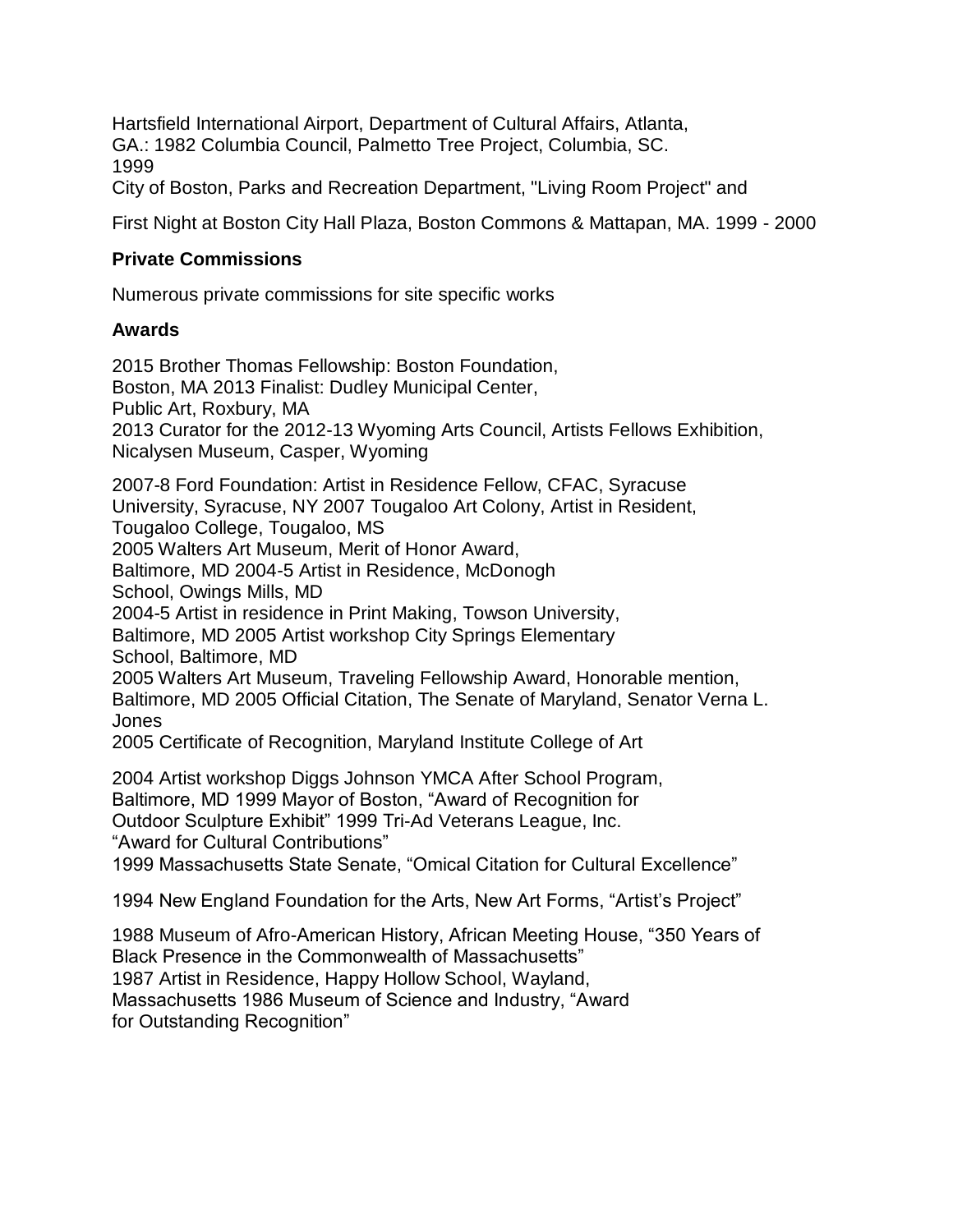Hartsfield International Airport, Department of Cultural Affairs, Atlanta, GA.: 1982 Columbia Council, Palmetto Tree Project, Columbia, SC. 1999

City of Boston, Parks and Recreation Department, "Living Room Project" and

First Night at Boston City Hall Plaza, Boston Commons & Mattapan, MA. 1999 - 2000

#### **Private Commissions**

Numerous private commissions for site specific works

#### **Awards**

2015 Brother Thomas Fellowship: Boston Foundation, Boston, MA 2013 Finalist: Dudley Municipal Center, Public Art, Roxbury, MA 2013 Curator for the 2012-13 Wyoming Arts Council, Artists Fellows Exhibition, Nicalysen Museum, Casper, Wyoming 2007-8 Ford Foundation: Artist in Residence Fellow, CFAC, Syracuse University, Syracuse, NY 2007 Tougaloo Art Colony, Artist in Resident, Tougaloo College, Tougaloo, MS 2005 Walters Art Museum, Merit of Honor Award, Baltimore, MD 2004-5 Artist in Residence, McDonogh School, Owings Mills, MD 2004-5 Artist in residence in Print Making, Towson University,

Baltimore, MD 2005 Artist workshop City Springs Elementary

School, Baltimore, MD

2005 Walters Art Museum, Traveling Fellowship Award, Honorable mention, Baltimore, MD 2005 Official Citation, The Senate of Maryland, Senator Verna L. Jones

2005 Certificate of Recognition, Maryland Institute College of Art

2004 Artist workshop Diggs Johnson YMCA After School Program, Baltimore, MD 1999 Mayor of Boston, "Award of Recognition for Outdoor Sculpture Exhibit" 1999 Tri-Ad Veterans League, Inc. "Award for Cultural Contributions" 1999 Massachusetts State Senate, "Omical Citation for Cultural Excellence"

1994 New England Foundation for the Arts, New Art Forms, "Artist's Project"

1988 Museum of Afro-American History, African Meeting House, "350 Years of Black Presence in the Commonwealth of Massachusetts" 1987 Artist in Residence, Happy Hollow School, Wayland, Massachusetts 1986 Museum of Science and Industry, "Award for Outstanding Recognition"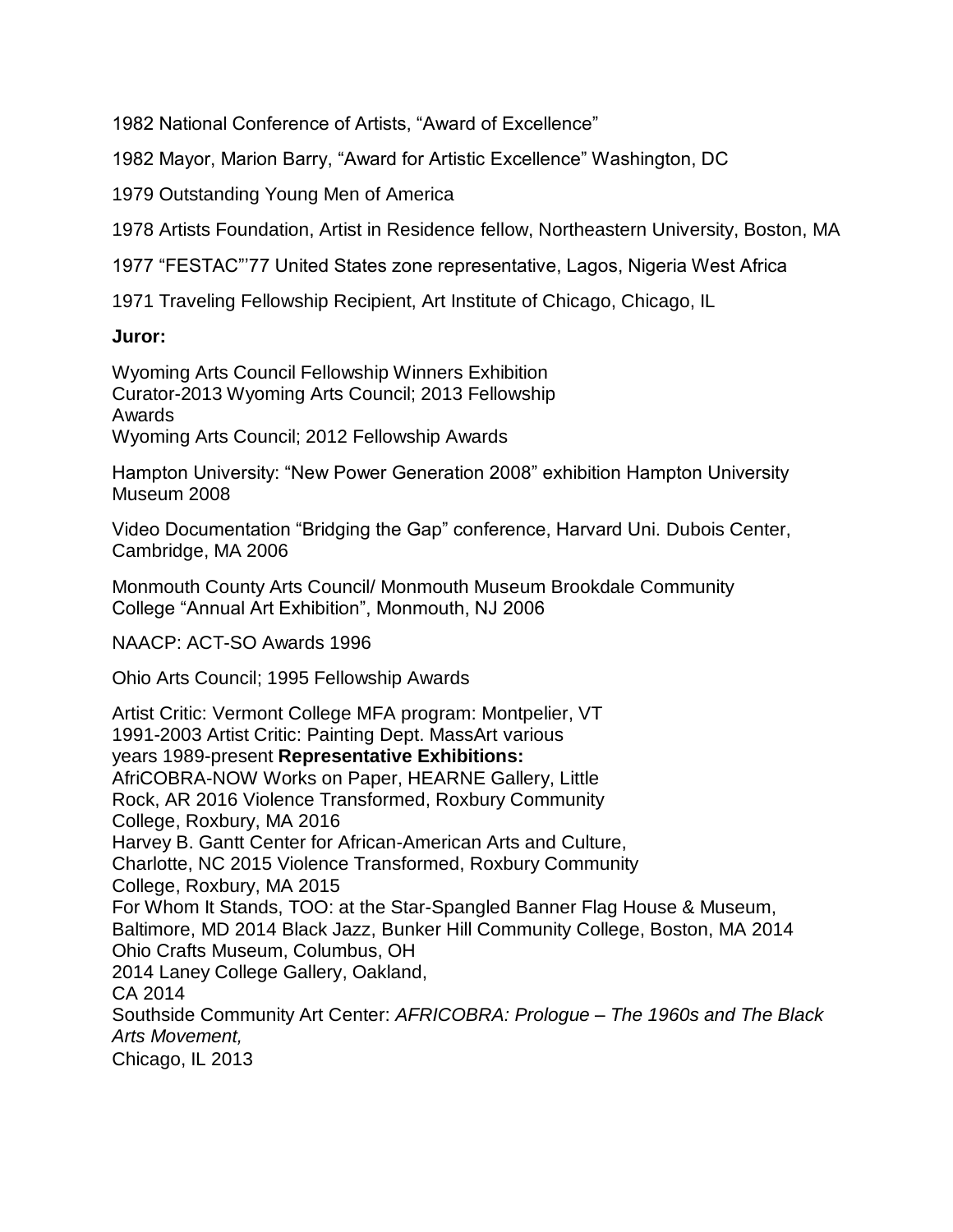1982 National Conference of Artists, "Award of Excellence"

1982 Mayor, Marion Barry, "Award for Artistic Excellence" Washington, DC

1979 Outstanding Young Men of America

1978 Artists Foundation, Artist in Residence fellow, Northeastern University, Boston, MA

1977 "FESTAC"'77 United States zone representative, Lagos, Nigeria West Africa

1971 Traveling Fellowship Recipient, Art Institute of Chicago, Chicago, IL

#### **Juror:**

Wyoming Arts Council Fellowship Winners Exhibition Curator-2013 Wyoming Arts Council; 2013 Fellowship Awards Wyoming Arts Council; 2012 Fellowship Awards

Hampton University: "New Power Generation 2008" exhibition Hampton University Museum 2008

Video Documentation "Bridging the Gap" conference, Harvard Uni. Dubois Center, Cambridge, MA 2006

Monmouth County Arts Council/ Monmouth Museum Brookdale Community College "Annual Art Exhibition", Monmouth, NJ 2006

NAACP: ACT-SO Awards 1996

Ohio Arts Council; 1995 Fellowship Awards

Artist Critic: Vermont College MFA program: Montpelier, VT 1991-2003 Artist Critic: Painting Dept. MassArt various years 1989-present **Representative Exhibitions:** AfriCOBRA-NOW Works on Paper, HEARNE Gallery, Little Rock, AR 2016 Violence Transformed, Roxbury Community College, Roxbury, MA 2016 Harvey B. Gantt Center for African-American Arts and Culture, Charlotte, NC 2015 Violence Transformed, Roxbury Community College, Roxbury, MA 2015 For Whom It Stands, TOO: at the Star-Spangled Banner Flag House & Museum, Baltimore, MD 2014 Black Jazz, Bunker Hill Community College, Boston, MA 2014 Ohio Crafts Museum, Columbus, OH 2014 Laney College Gallery, Oakland, CA 2014 Southside Community Art Center: *AFRICOBRA: Prologue – The 1960s and The Black Arts Movement,* Chicago, IL 2013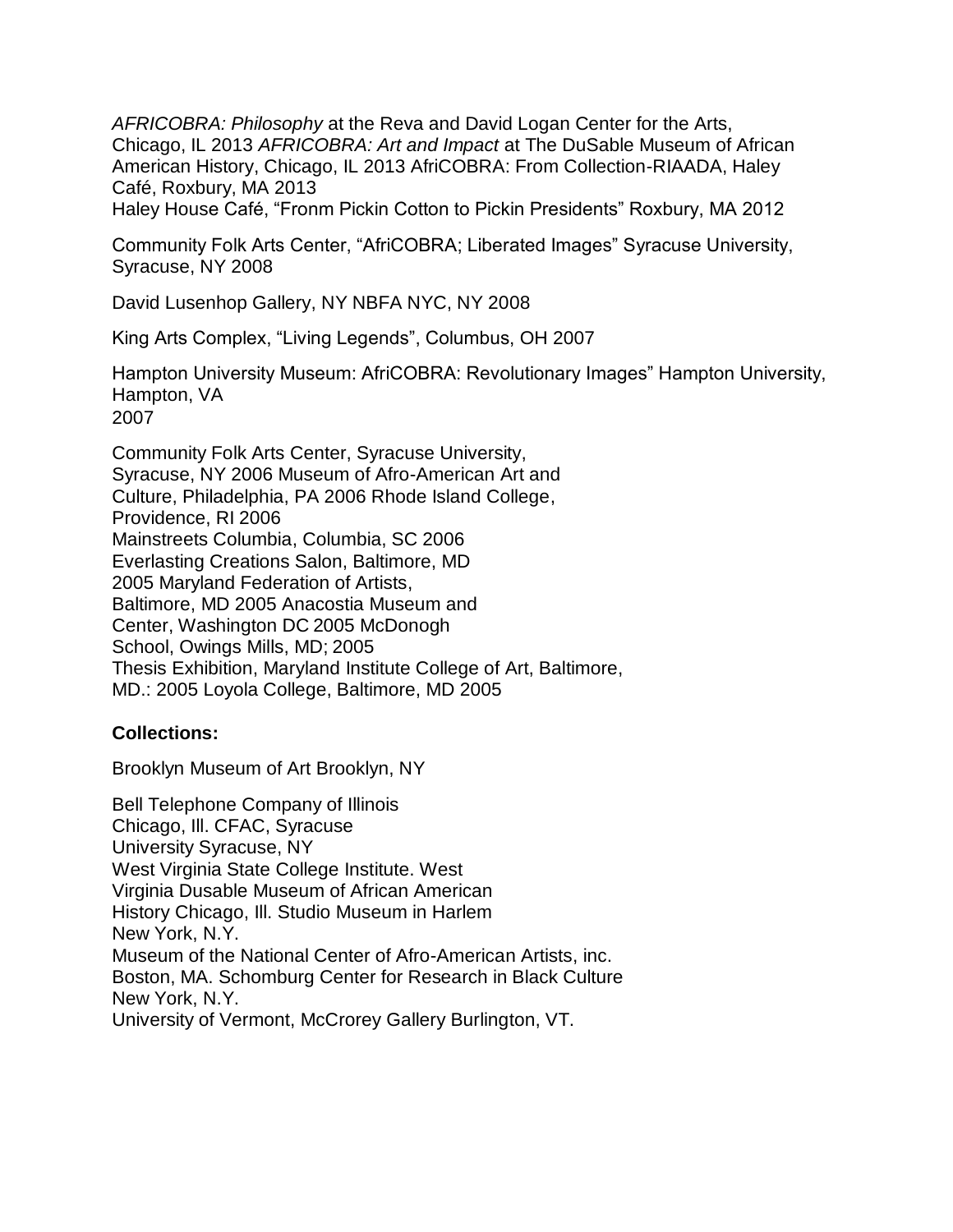*AFRICOBRA: Philosophy* at the Reva and David Logan Center for the Arts, Chicago, IL 2013 *AFRICOBRA: Art and Impact* at The DuSable Museum of African American History, Chicago, IL 2013 AfriCOBRA: From Collection-RIAADA, Haley Café, Roxbury, MA 2013

Haley House Café, "Fronm Pickin Cotton to Pickin Presidents" Roxbury, MA 2012

Community Folk Arts Center, "AfriCOBRA; Liberated Images" Syracuse University, Syracuse, NY 2008

David Lusenhop Gallery, NY NBFA NYC, NY 2008

King Arts Complex, "Living Legends", Columbus, OH 2007

Hampton University Museum: AfriCOBRA: Revolutionary Images" Hampton University, Hampton, VA 2007

Community Folk Arts Center, Syracuse University, Syracuse, NY 2006 Museum of Afro-American Art and Culture, Philadelphia, PA 2006 Rhode Island College, Providence, RI 2006 Mainstreets Columbia, Columbia, SC 2006 Everlasting Creations Salon, Baltimore, MD 2005 Maryland Federation of Artists, Baltimore, MD 2005 Anacostia Museum and Center, Washington DC 2005 McDonogh School, Owings Mills, MD; 2005 Thesis Exhibition, Maryland Institute College of Art, Baltimore, MD.: 2005 Loyola College, Baltimore, MD 2005

#### **Collections:**

Brooklyn Museum of Art Brooklyn, NY

Bell Telephone Company of Illinois Chicago, Ill. CFAC, Syracuse University Syracuse, NY West Virginia State College Institute. West Virginia Dusable Museum of African American History Chicago, Ill. Studio Museum in Harlem New York, N.Y. Museum of the National Center of Afro-American Artists, inc. Boston, MA. Schomburg Center for Research in Black Culture New York, N.Y. University of Vermont, McCrorey Gallery Burlington, VT.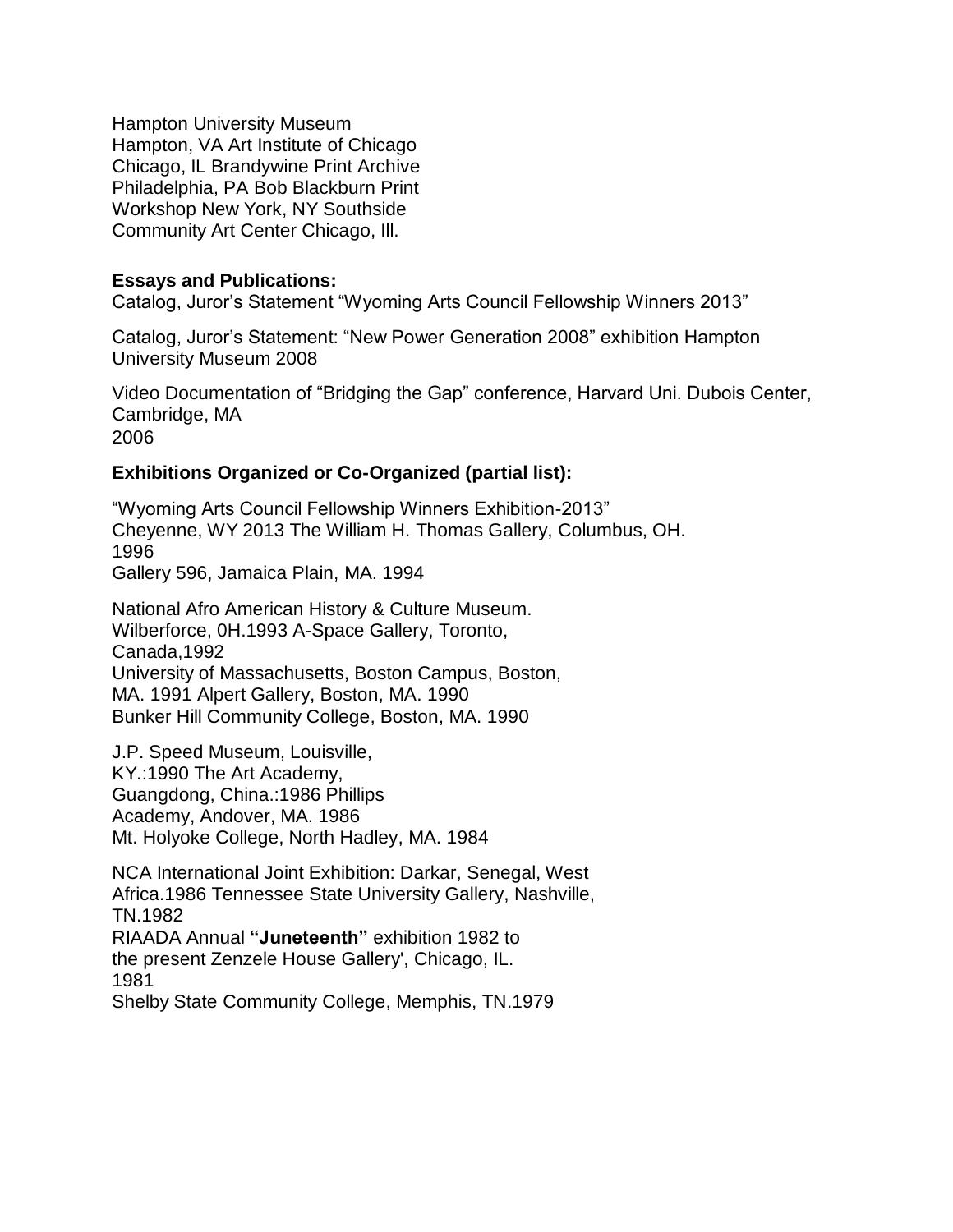Hampton University Museum Hampton, VA Art Institute of Chicago Chicago, IL Brandywine Print Archive Philadelphia, PA Bob Blackburn Print Workshop New York, NY Southside Community Art Center Chicago, Ill.

#### **Essays and Publications:**

Catalog, Juror's Statement "Wyoming Arts Council Fellowship Winners 2013"

Catalog, Juror's Statement: "New Power Generation 2008" exhibition Hampton University Museum 2008

Video Documentation of "Bridging the Gap" conference, Harvard Uni. Dubois Center, Cambridge, MA 2006

#### **Exhibitions Organized or Co-Organized (partial list):**

"Wyoming Arts Council Fellowship Winners Exhibition-2013" Cheyenne, WY 2013 The William H. Thomas Gallery, Columbus, OH. 1996 Gallery 596, Jamaica Plain, MA. 1994

National Afro American History & Culture Museum. Wilberforce, 0H.1993 A-Space Gallery, Toronto, Canada,1992 University of Massachusetts, Boston Campus, Boston, MA. 1991 Alpert Gallery, Boston, MA. 1990 Bunker Hill Community College, Boston, MA. 1990

J.P. Speed Museum, Louisville, KY.:1990 The Art Academy, Guangdong, China.:1986 Phillips Academy, Andover, MA. 1986 Mt. Holyoke College, North Hadley, MA. 1984

NCA International Joint Exhibition: Darkar, Senegal, West Africa.1986 Tennessee State University Gallery, Nashville, TN.1982 RIAADA Annual **"Juneteenth"** exhibition 1982 to the present Zenzele House Gallery', Chicago, IL. 1981 Shelby State Community College, Memphis, TN.1979